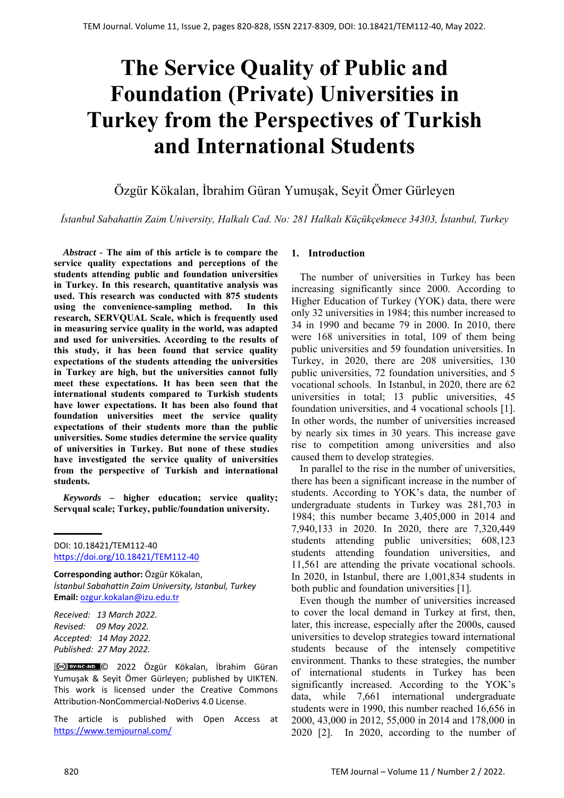# **The Service Quality of Public and Foundation (Private) Universities in Turkey from the Perspectives of Turkish and International Students**

Özgür Kökalan, İbrahim Güran Yumuşak, Seyit Ömer Gürleyen

*İstanbul Sabahattin Zaim University, Halkalı Cad. No: 281 Halkalı Küçükçekmece 34303, İstanbul, Turkey* 

*Abstract -* **The aim of this article is to compare the service quality expectations and perceptions of the students attending public and foundation universities in Turkey. In this research, quantitative analysis was used. This research was conducted with 875 students using the convenience-sampling method. In this research, SERVQUAL Scale, which is frequently used in measuring service quality in the world, was adapted and used for universities. According to the results of this study, it has been found that service quality expectations of the students attending the universities in Turkey are high, but the universities cannot fully meet these expectations. It has been seen that the international students compared to Turkish students have lower expectations. It has been also found that foundation universities meet the service quality expectations of their students more than the public universities. Some studies determine the service quality of universities in Turkey. But none of these studies have investigated the service quality of universities from the perspective of Turkish and international students.** 

*Keywords –* **higher education; service quality; Servqual scale; Turkey, public/foundation university.** 

DOI: 10.18421/TEM112-40 [https://doi.org/10.18421/TEM112](https://doi.org/10.18421/TEM112-40)-40

**Corresponding author:** Özgür Kökalan, *İstanbul Sabahattin Zaim University, Istanbul, Turkey*  **Email:** ozgur.kokalan@izu.edu.tr

*Received: 13 March 2022. Revised: 09 May 2022. Accepted: 14 May 2022. Published: 27 May 2022.* 

© 2022 Özgür Kökalan, İbrahim Güran Yumuşak & Seyit Ömer Gürleyen; published by UIKTEN. This work is licensed under the Creative Commons Attribution‐NonCommercial‐NoDerivs 4.0 License.

The article is published with Open Access at https://www.temjournal.com/

## **1. Introduction**

The number of universities in Turkey has been increasing significantly since 2000. According to Higher Education of Turkey (YOK) data, there were only 32 universities in 1984; this number increased to 34 in 1990 and became 79 in 2000. In 2010, there were 168 universities in total, 109 of them being public universities and 59 foundation universities. In Turkey, in 2020, there are 208 universities, 130 public universities, 72 foundation universities, and 5 vocational schools. In Istanbul, in 2020, there are 62 universities in total; 13 public universities, 45 foundation universities, and 4 vocational schools [1]. In other words, the number of universities increased by nearly six times in 30 years. This increase gave rise to competition among universities and also caused them to develop strategies.

 In parallel to the rise in the number of universities, there has been a significant increase in the number of students. According to YOK's data, the number of undergraduate students in Turkey was 281,703 in 1984; this number became 3,405,000 in 2014 and 7,940,133 in 2020. In 2020, there are 7,320,449 students attending public universities; 608,123 students attending foundation universities, and 11,561 are attending the private vocational schools. In 2020, in Istanbul, there are 1,001,834 students in both public and foundation universities [1].

 Even though the number of universities increased to cover the local demand in Turkey at first, then, later, this increase, especially after the 2000s, caused universities to develop strategies toward international students because of the intensely competitive environment. Thanks to these strategies, the number of international students in Turkey has been significantly increased. According to the YOK's data, while 7,661 international undergraduate students were in 1990, this number reached 16,656 in 2000, 43,000 in 2012, 55,000 in 2014 and 178,000 in 2020 [2]. In 2020, according to the number of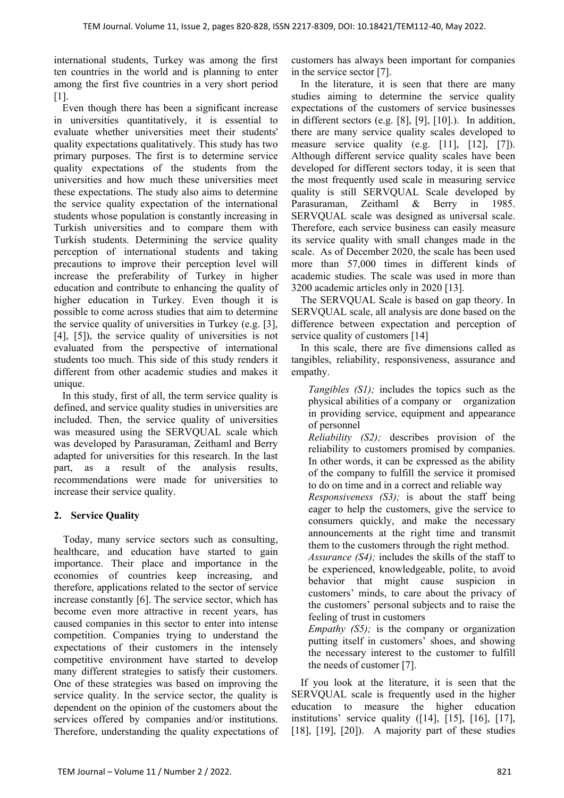international students, Turkey was among the first ten countries in the world and is planning to enter among the first five countries in a very short period [1].

 Even though there has been a significant increase in universities quantitatively, it is essential to evaluate whether universities meet their students' quality expectations qualitatively. This study has two primary purposes. The first is to determine service quality expectations of the students from the universities and how much these universities meet these expectations. The study also aims to determine the service quality expectation of the international students whose population is constantly increasing in Turkish universities and to compare them with Turkish students. Determining the service quality perception of international students and taking precautions to improve their perception level will increase the preferability of Turkey in higher education and contribute to enhancing the quality of higher education in Turkey. Even though it is possible to come across studies that aim to determine the service quality of universities in Turkey (e.g. [3], [4], [5]), the service quality of universities is not evaluated from the perspective of international students too much. This side of this study renders it different from other academic studies and makes it unique.

 In this study, first of all, the term service quality is defined, and service quality studies in universities are included. Then, the service quality of universities was measured using the SERVQUAL scale which was developed by Parasuraman, Zeithaml and Berry adapted for universities for this research. In the last part, as a result of the analysis results, recommendations were made for universities to increase their service quality.

# **2. Service Quality**

Today, many service sectors such as consulting, healthcare, and education have started to gain importance. Their place and importance in the economies of countries keep increasing, and therefore, applications related to the sector of service increase constantly [6]. The service sector, which has become even more attractive in recent years, has caused companies in this sector to enter into intense competition. Companies trying to understand the expectations of their customers in the intensely competitive environment have started to develop many different strategies to satisfy their customers. One of these strategies was based on improving the service quality. In the service sector, the quality is dependent on the opinion of the customers about the services offered by companies and/or institutions. Therefore, understanding the quality expectations of customers has always been important for companies in the service sector [7].

In the literature, it is seen that there are many studies aiming to determine the service quality expectations of the customers of service businesses in different sectors (e.g. [8], [9], [10].). In addition, there are many service quality scales developed to measure service quality (e.g. [11], [12], [7]). Although different service quality scales have been developed for different sectors today, it is seen that the most frequently used scale in measuring service quality is still SERVQUAL Scale developed by Parasuraman, Zeithaml & Berry in 1985. SERVQUAL scale was designed as universal scale. Therefore, each service business can easily measure its service quality with small changes made in the scale. As of December 2020, the scale has been used more than 57,000 times in different kinds of academic studies. The scale was used in more than 3200 academic articles only in 2020 [13].

The SERVQUAL Scale is based on gap theory. In SERVQUAL scale, all analysis are done based on the difference between expectation and perception of service quality of customers [14]

In this scale, there are five dimensions called as tangibles, reliability, responsiveness, assurance and empathy.

*Tangibles (S1)*; includes the topics such as the physical abilities of a company or organization in providing service, equipment and appearance of personnel

*Reliability (S2);* describes provision of the reliability to customers promised by companies. In other words, it can be expressed as the ability of the company to fulfill the service it promised to do on time and in a correct and reliable way

*Responsiveness (S3);* is about the staff being eager to help the customers, give the service to consumers quickly, and make the necessary announcements at the right time and transmit them to the customers through the right method.

*Assurance (S4);* includes the skills of the staff to be experienced, knowledgeable, polite, to avoid behavior that might cause suspicion in customers' minds, to care about the privacy of the customers' personal subjects and to raise the feeling of trust in customers

*Empathy (S5)*; is the company or organization putting itself in customers' shoes, and showing the necessary interest to the customer to fulfill the needs of customer [7].

If you look at the literature, it is seen that the SERVQUAL scale is frequently used in the higher education to measure the higher education institutions' service quality ([14], [15], [16], [17], [18], [19], [20]). A majority part of these studies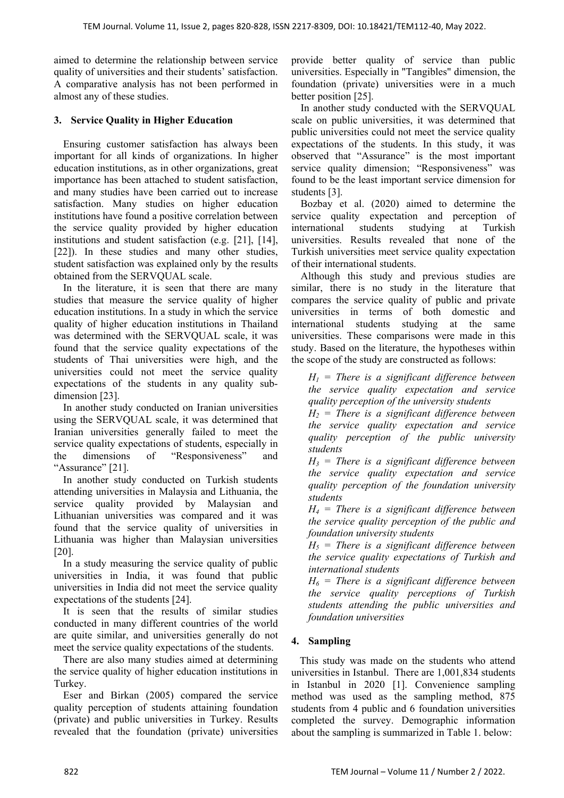aimed to determine the relationship between service quality of universities and their students' satisfaction. A comparative analysis has not been performed in almost any of these studies.

## **3. Service Quality in Higher Education**

Ensuring customer satisfaction has always been important for all kinds of organizations. In higher education institutions, as in other organizations, great importance has been attached to student satisfaction, and many studies have been carried out to increase satisfaction. Many studies on higher education institutions have found a positive correlation between the service quality provided by higher education institutions and student satisfaction (e.g. [21], [14], [22]). In these studies and many other studies, student satisfaction was explained only by the results obtained from the SERVQUAL scale.

In the literature, it is seen that there are many studies that measure the service quality of higher education institutions. In a study in which the service quality of higher education institutions in Thailand was determined with the SERVQUAL scale, it was found that the service quality expectations of the students of Thai universities were high, and the universities could not meet the service quality expectations of the students in any quality subdimension [23].

In another study conducted on Iranian universities using the SERVQUAL scale, it was determined that Iranian universities generally failed to meet the service quality expectations of students, especially in the dimensions of "Responsiveness" and "Assurance" [21].

In another study conducted on Turkish students attending universities in Malaysia and Lithuania, the service quality provided by Malaysian and Lithuanian universities was compared and it was found that the service quality of universities in Lithuania was higher than Malaysian universities [20].

In a study measuring the service quality of public universities in India, it was found that public universities in India did not meet the service quality expectations of the students [24].

It is seen that the results of similar studies conducted in many different countries of the world are quite similar, and universities generally do not meet the service quality expectations of the students.

There are also many studies aimed at determining the service quality of higher education institutions in Turkey.

Eser and Birkan (2005) compared the service quality perception of students attaining foundation (private) and public universities in Turkey. Results revealed that the foundation (private) universities provide better quality of service than public universities. Especially in "Tangibles" dimension, the foundation (private) universities were in a much better position [25].

In another study conducted with the SERVQUAL scale on public universities, it was determined that public universities could not meet the service quality expectations of the students. In this study, it was observed that "Assurance" is the most important service quality dimension; "Responsiveness" was found to be the least important service dimension for students [3].

Bozbay et al. (2020) aimed to determine the service quality expectation and perception of international students studying at Turkish universities. Results revealed that none of the Turkish universities meet service quality expectation of their international students.

Although this study and previous studies are similar, there is no study in the literature that compares the service quality of public and private universities in terms of both domestic and international students studying at the same universities. These comparisons were made in this study. Based on the literature, the hypotheses within the scope of the study are constructed as follows:

*H1 = There is a significant difference between the service quality expectation and service quality perception of the university students* 

 $H<sub>2</sub>$  = There is a significant difference between *the service quality expectation and service quality perception of the public university students* 

*H3 = There is a significant difference between the service quality expectation and service quality perception of the foundation university students* 

*H4 = There is a significant difference between the service quality perception of the public and foundation university students* 

*H5 = There is a significant difference between the service quality expectations of Turkish and international students* 

 $H_6$  = There is a significant difference between *the service quality perceptions of Turkish students attending the public universities and foundation universities* 

# **4. Sampling**

This study was made on the students who attend universities in Istanbul. There are 1,001,834 students in Istanbul in 2020 [1]. Convenience sampling method was used as the sampling method, 875 students from 4 public and 6 foundation universities completed the survey. Demographic information about the sampling is summarized in Table 1. below: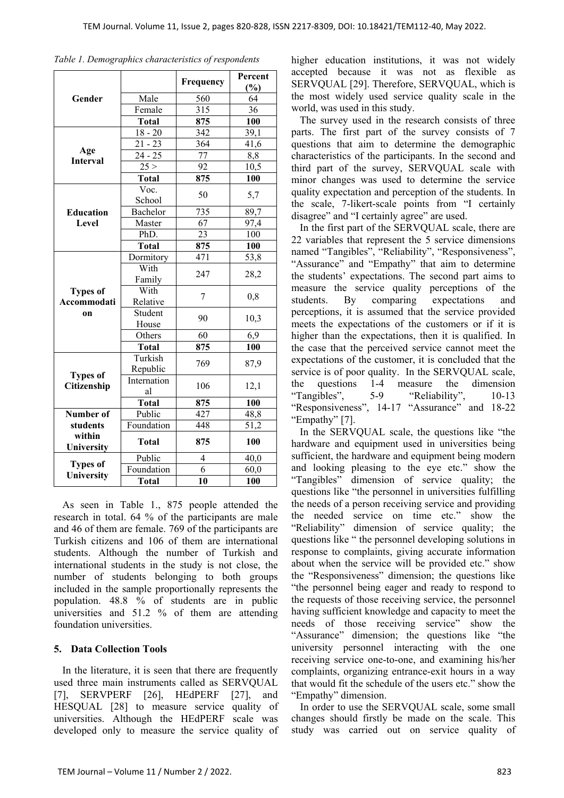|                        |                      | Frequency                                                                                                                                                                                       | Percent         |
|------------------------|----------------------|-------------------------------------------------------------------------------------------------------------------------------------------------------------------------------------------------|-----------------|
|                        |                      |                                                                                                                                                                                                 | (%)             |
| Gender                 | Male                 |                                                                                                                                                                                                 | 64              |
|                        | Female               | 560<br>$\overline{315}$<br>875<br>342<br>364<br>77<br>92<br>875<br>50<br>735<br>67<br>23<br>875<br>471<br>247<br>7<br>90<br>60<br>875<br>769<br>106<br>875<br>427<br>448<br>875<br>4<br>6<br>10 | $\overline{36}$ |
|                        | <b>Total</b>         |                                                                                                                                                                                                 | 100             |
|                        | $18 - 20$            |                                                                                                                                                                                                 | 39,1            |
|                        | $\overline{2}1 - 23$ |                                                                                                                                                                                                 | 41,6            |
| Age<br><b>Interval</b> | $24 - 25$            |                                                                                                                                                                                                 | 8,8             |
|                        | 25 >                 |                                                                                                                                                                                                 | 10,5            |
|                        | <b>Total</b>         |                                                                                                                                                                                                 | 100             |
|                        | Voc.                 |                                                                                                                                                                                                 |                 |
|                        | School               |                                                                                                                                                                                                 | 5,7             |
| <b>Education</b>       | Bachelor             |                                                                                                                                                                                                 | 89,7            |
| Level                  | Master               |                                                                                                                                                                                                 | 97,4            |
|                        | PhD.                 |                                                                                                                                                                                                 | 100             |
|                        | <b>Total</b>         |                                                                                                                                                                                                 | 100             |
|                        | Dormitory            |                                                                                                                                                                                                 | 53,8            |
|                        | With                 |                                                                                                                                                                                                 | 28,2            |
|                        | Family               |                                                                                                                                                                                                 |                 |
| <b>Types of</b>        | With                 |                                                                                                                                                                                                 | 0,8             |
| Accommodati            | Relative             |                                                                                                                                                                                                 |                 |
| on                     | Student              |                                                                                                                                                                                                 | 10,3            |
|                        | House                |                                                                                                                                                                                                 |                 |
|                        | Others               |                                                                                                                                                                                                 | 6,9             |
|                        | <b>Total</b>         |                                                                                                                                                                                                 | 100             |
|                        | Turkish              |                                                                                                                                                                                                 | 87,9            |
| <b>Types of</b>        | Republic             |                                                                                                                                                                                                 |                 |
| Citizenship            | Internation          |                                                                                                                                                                                                 | 12,1            |
|                        | al                   |                                                                                                                                                                                                 |                 |
|                        | <b>Total</b>         |                                                                                                                                                                                                 | 100             |
| Number of              | Public               |                                                                                                                                                                                                 | 48,8            |
| students               | Foundation           |                                                                                                                                                                                                 | 51,2            |
| within                 | <b>Total</b>         |                                                                                                                                                                                                 | 100             |
| University             |                      |                                                                                                                                                                                                 |                 |
| <b>Types of</b>        | Public               |                                                                                                                                                                                                 | 40,0            |
| University             | Foundation           |                                                                                                                                                                                                 | 60,0            |
|                        | <b>Total</b>         |                                                                                                                                                                                                 | 100             |

*Table 1. Demographics characteristics of respondents* 

As seen in Table 1., 875 people attended the research in total. 64 % of the participants are male and 46 of them are female. 769 of the participants are Turkish citizens and 106 of them are international students. Although the number of Turkish and international students in the study is not close, the number of students belonging to both groups included in the sample proportionally represents the population. 48.8 % of students are in public universities and 51.2 % of them are attending foundation universities.

#### **5. Data Collection Tools**

In the literature, it is seen that there are frequently used three main instruments called as SERVQUAL [7], SERVPERF [26], HEdPERF [27], and HESQUAL [28] to measure service quality of universities. Although the HEdPERF scale was developed only to measure the service quality of higher education institutions, it was not widely accepted because it was not as flexible as SERVQUAL [29]. Therefore, SERVQUAL, which is the most widely used service quality scale in the world, was used in this study.

The survey used in the research consists of three parts. The first part of the survey consists of 7 questions that aim to determine the demographic characteristics of the participants. In the second and third part of the survey, SERVQUAL scale with minor changes was used to determine the service quality expectation and perception of the students. In the scale, 7-likert-scale points from "I certainly disagree" and "I certainly agree" are used.

In the first part of the SERVQUAL scale, there are 22 variables that represent the 5 service dimensions named "Tangibles", "Reliability", "Responsiveness", "Assurance" and "Empathy" that aim to determine the students' expectations. The second part aims to measure the service quality perceptions of the students. By comparing expectations and perceptions, it is assumed that the service provided meets the expectations of the customers or if it is higher than the expectations, then it is qualified. In the case that the perceived service cannot meet the expectations of the customer, it is concluded that the service is of poor quality. In the SERVQUAL scale, the questions 1-4 measure the dimension "Tangibles", 5-9 "Reliability", 10-13 "Responsiveness", 14-17 "Assurance" and 18-22 "Empathy" [7].

In the SERVQUAL scale, the questions like "the hardware and equipment used in universities being sufficient, the hardware and equipment being modern and looking pleasing to the eye etc." show the "Tangibles" dimension of service quality; the questions like "the personnel in universities fulfilling the needs of a person receiving service and providing the needed service on time etc." show the "Reliability" dimension of service quality; the questions like " the personnel developing solutions in response to complaints, giving accurate information about when the service will be provided etc." show the "Responsiveness" dimension; the questions like "the personnel being eager and ready to respond to the requests of those receiving service, the personnel having sufficient knowledge and capacity to meet the needs of those receiving service" show the "Assurance" dimension; the questions like "the university personnel interacting with the one receiving service one-to-one, and examining his/her complaints, organizing entrance-exit hours in a way that would fit the schedule of the users etc." show the "Empathy" dimension.

In order to use the SERVQUAL scale, some small changes should firstly be made on the scale. This study was carried out on service quality of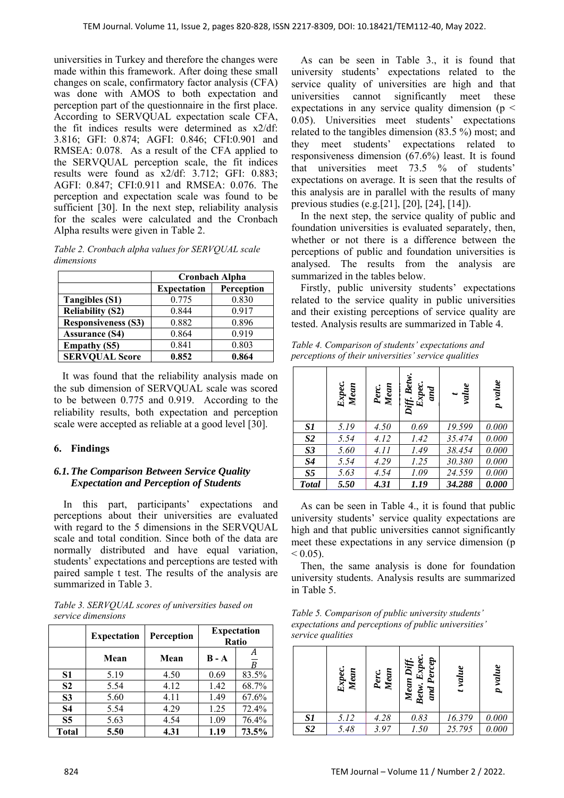universities in Turkey and therefore the changes were made within this framework. After doing these small changes on scale, confirmatory factor analysis (CFA) was done with AMOS to both expectation and perception part of the questionnaire in the first place. According to SERVQUAL expectation scale CFA, the fit indices results were determined as x2/df: 3.816; GFI: 0.874; AGFI: 0.846; CFI:0.901 and RMSEA: 0.078. As a result of the CFA applied to the SERVQUAL perception scale, the fit indices results were found as x2/df: 3.712; GFI: 0.883; AGFI: 0.847; CFI:0.911 and RMSEA: 0.076. The perception and expectation scale was found to be sufficient [30]. In the next step, reliability analysis for the scales were calculated and the Cronbach Alpha results were given in Table 2.

*Table 2. Cronbach alpha values for SERVQUAL scale dimensions* 

|                            | <b>Cronbach Alpha</b>            |       |  |
|----------------------------|----------------------------------|-------|--|
|                            | Perception<br><b>Expectation</b> |       |  |
| Tangibles (S1)             | 0.775                            | 0.830 |  |
| <b>Reliability (S2)</b>    | 0.844                            | 0.917 |  |
| <b>Responsiveness (S3)</b> | 0.882                            | 0.896 |  |
| <b>Assurance (S4)</b>      | 0.864                            | 0.919 |  |
| <b>Empathy (S5)</b>        | 0.841                            | 0.803 |  |
| <b>SERVQUAL Score</b>      | 0.852                            | 0.864 |  |

It was found that the reliability analysis made on the sub dimension of SERVQUAL scale was scored to be between 0.775 and 0.919. According to the reliability results, both expectation and perception scale were accepted as reliable at a good level [30].

# **6. Findings**

## *6.1.The Comparison Between Service Quality Expectation and Perception of Students*

In this part, participants' expectations and perceptions about their universities are evaluated with regard to the 5 dimensions in the SERVQUAL scale and total condition. Since both of the data are normally distributed and have equal variation, students' expectations and perceptions are tested with paired sample t test. The results of the analysis are summarized in Table 3.

*Table 3. SERVQUAL scores of universities based on service dimensions* 

|                | <b>Expectation</b> | Perception |         | <b>Expectation</b><br>Ratio |
|----------------|--------------------|------------|---------|-----------------------------|
|                | Mean               | Mean       | $B - A$ | R                           |
| S1             | 5.19               | 4.50       | 0.69    | 83.5%                       |
| S <sub>2</sub> | 5.54               | 4.12       | 1.42    | 68.7%                       |
| S <sub>3</sub> | 5.60               | 4.11       | 1.49    | 67.6%                       |
| <b>S4</b>      | 5.54               | 4.29       | 1.25    | 72.4%                       |
| S <sub>5</sub> | 5.63               | 4.54       | 1.09    | 76.4%                       |
| <b>Total</b>   | 5.50               | 4.31       | 1.19    | 73.5%                       |

As can be seen in Table 3., it is found that university students' expectations related to the service quality of universities are high and that universities cannot significantly meet these expectations in any service quality dimension ( $p <$ 0.05). Universities meet students' expectations related to the tangibles dimension (83.5 %) most; and they meet students' expectations related to responsiveness dimension (67.6%) least. It is found that universities meet 73.5 % of students' expectations on average. It is seen that the results of this analysis are in parallel with the results of many previous studies (e.g.[21], [20], [24], [14]).

In the next step, the service quality of public and foundation universities is evaluated separately, then, whether or not there is a difference between the perceptions of public and foundation universities is analysed. The results from the analysis are summarized in the tables below.

Firstly, public university students' expectations related to the service quality in public universities and their existing perceptions of service quality are tested. Analysis results are summarized in Table 4.

*Table 4. Comparison of students' expectations and perceptions of their universities' service qualities* 

|                | Expec.<br>Mean | Perc.<br>Mean | Diff. Betw<br>Expec.<br>and | value  | p value |
|----------------|----------------|---------------|-----------------------------|--------|---------|
| S1             | 5.19           | 4.50          | 0.69                        | 19.599 | 0.000   |
| S <sub>2</sub> | 5.54           | 4.12          | 1.42                        | 35.474 | 0.000   |
| S <sub>3</sub> | 5.60           | 4.11          | 1.49                        | 38.454 | 0.000   |
| S <sub>4</sub> | 5.54           | 4.29          | 1.25                        | 30.380 | 0.000   |
| S <sub>5</sub> | 5.63           | 4.54          | 1.09                        | 24.559 | 0.000   |
| <b>Total</b>   | 5.50           | 4.31          | 1.19                        | 34.288 | 0.000   |

As can be seen in Table 4., it is found that public university students' service quality expectations are high and that public universities cannot significantly meet these expectations in any service dimension (p  $< 0.05$ ).

Then, the same analysis is done for foundation university students. Analysis results are summarized in Table 5.

*Table 5. Comparison of public university students' expectations and perceptions of public universities' service qualities* 

|                | Expec.<br>Mean | Mean<br>Perc. | Mean Diff.<br>Betw. Expec.<br>and Percep<br>Betw. | t value | p value |
|----------------|----------------|---------------|---------------------------------------------------|---------|---------|
| S1             | 5.12           | 4.28          | 0.83                                              | 16.379  | 0.000   |
| S <sub>2</sub> | 5.48           | 3.97          | 1.50                                              | 25.795  | 0.000   |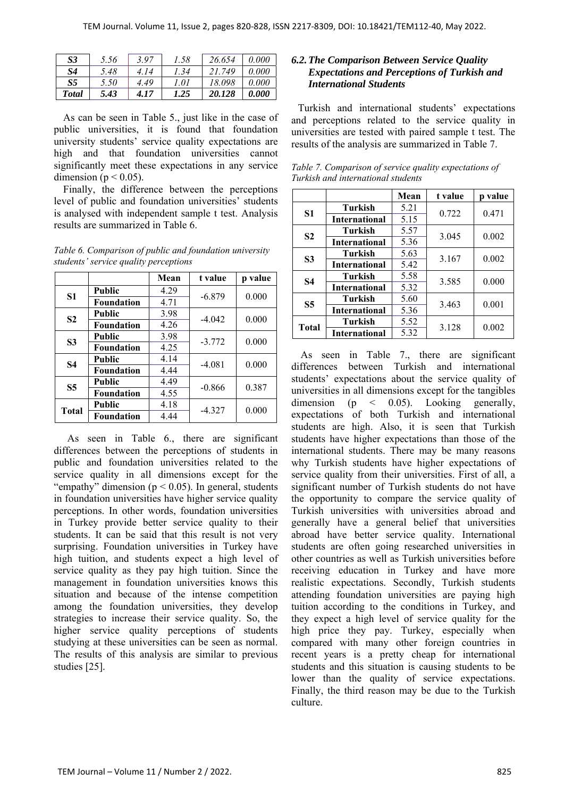| S <sub>3</sub> | 5.56 | 3.97 | 1.58 | 26.654 | 0.000 |
|----------------|------|------|------|--------|-------|
| S4             | 5.48 | 4.14 | 1.34 | 21.749 | 0.000 |
| S5             | 5.50 | 4.49 | 1.01 | 18.098 | 0.000 |
| <b>Total</b>   | 5.43 | 4.17 | 1.25 | 20.128 | 0.000 |

As can be seen in Table 5., just like in the case of public universities, it is found that foundation university students' service quality expectations are high and that foundation universities cannot significantly meet these expectations in any service dimension ( $p < 0.05$ ).

Finally, the difference between the perceptions level of public and foundation universities' students is analysed with independent sample t test. Analysis results are summarized in Table 6.

*Table 6. Comparison of public and foundation university students' service quality perceptions* 

|                |                   | Mean | t value  | p value |
|----------------|-------------------|------|----------|---------|
|                | <b>Public</b>     | 4.29 | $-6.879$ | 0.000   |
| S <sub>1</sub> | <b>Foundation</b> | 4.71 |          |         |
| S <sub>2</sub> | <b>Public</b>     | 3.98 | $-4.042$ | 0.000   |
|                | <b>Foundation</b> | 4.26 |          |         |
| S <sub>3</sub> | <b>Public</b>     | 3.98 | $-3.772$ | 0.000   |
|                | <b>Foundation</b> | 4.25 |          |         |
| <b>S4</b>      | <b>Public</b>     | 4.14 | $-4.081$ | 0.000   |
|                | <b>Foundation</b> | 4.44 |          |         |
| S <sub>5</sub> | <b>Public</b>     | 4.49 |          | 0.387   |
|                | <b>Foundation</b> | 4.55 | $-0.866$ |         |
| <b>Total</b>   | <b>Public</b>     | 4.18 |          |         |
|                | <b>Foundation</b> | 4.44 | $-4.327$ | 0.000   |

As seen in Table 6., there are significant differences between the perceptions of students in public and foundation universities related to the service quality in all dimensions except for the "empathy" dimension ( $p < 0.05$ ). In general, students in foundation universities have higher service quality perceptions. In other words, foundation universities in Turkey provide better service quality to their students. It can be said that this result is not very surprising. Foundation universities in Turkey have high tuition, and students expect a high level of service quality as they pay high tuition. Since the management in foundation universities knows this situation and because of the intense competition among the foundation universities, they develop strategies to increase their service quality. So, the higher service quality perceptions of students studying at these universities can be seen as normal. The results of this analysis are similar to previous studies [25].

### *6.2.The Comparison Between Service Quality Expectations and Perceptions of Turkish and International Students*

Turkish and international students' expectations and perceptions related to the service quality in universities are tested with paired sample t test. The results of the analysis are summarized in Table 7.

|                |                      | Mean | t value | p value |
|----------------|----------------------|------|---------|---------|
| <b>S1</b>      | <b>Turkish</b>       | 5.21 | 0.722   | 0.471   |
|                | <b>International</b> | 5.15 |         |         |
| S <sub>2</sub> | <b>Turkish</b>       | 5.57 | 3.045   | 0.002   |
|                | <b>International</b> | 5.36 |         |         |
| <b>S3</b>      | Turkish              | 5.63 | 3.167   | 0.002   |
|                | <b>International</b> | 5.42 |         |         |
| <b>S4</b>      | <b>Turkish</b>       | 5.58 | 3.585   | 0.000   |
|                | <b>International</b> | 5.32 |         |         |
| S <sub>5</sub> | <b>Turkish</b>       | 5.60 | 3.463   | 0.001   |
|                | <b>International</b> | 5.36 |         |         |
| <b>Total</b>   | <b>Turkish</b>       | 5.52 | 3.128   | 0.002   |
|                | <b>International</b> | 5.32 |         |         |

*Table 7. Comparison of service quality expectations of Turkish and international students*

As seen in Table 7., there are significant differences between Turkish and international students' expectations about the service quality of universities in all dimensions except for the tangibles dimension (p < 0.05). Looking generally, expectations of both Turkish and international students are high. Also, it is seen that Turkish students have higher expectations than those of the international students. There may be many reasons why Turkish students have higher expectations of service quality from their universities. First of all, a significant number of Turkish students do not have the opportunity to compare the service quality of Turkish universities with universities abroad and generally have a general belief that universities abroad have better service quality. International students are often going researched universities in other countries as well as Turkish universities before receiving education in Turkey and have more realistic expectations. Secondly, Turkish students attending foundation universities are paying high tuition according to the conditions in Turkey, and they expect a high level of service quality for the high price they pay. Turkey, especially when compared with many other foreign countries in recent years is a pretty cheap for international students and this situation is causing students to be lower than the quality of service expectations. Finally, the third reason may be due to the Turkish culture.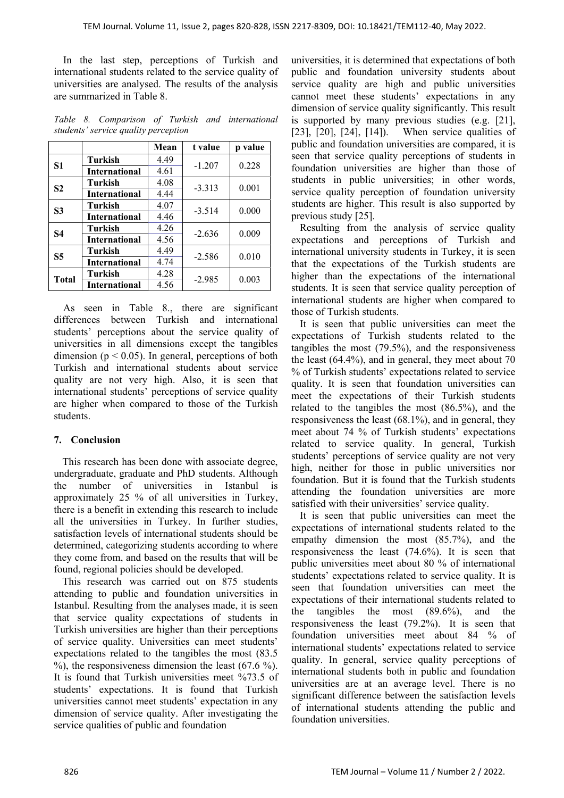In the last step, perceptions of Turkish and international students related to the service quality of universities are analysed. The results of the analysis are summarized in Table 8.

*Table 8. Comparison of Turkish and international students' service quality perception* 

|                |                      | Mean | t value  | p value |
|----------------|----------------------|------|----------|---------|
| S <sub>1</sub> | <b>Turkish</b>       | 4.49 | $-1.207$ | 0.228   |
|                | <b>International</b> | 4.61 |          |         |
| S <sub>2</sub> | Turkish              | 4.08 | $-3.313$ | 0.001   |
|                | <b>International</b> | 4.44 |          |         |
| <b>S3</b>      | <b>Turkish</b>       | 4.07 | $-3.514$ | 0.000   |
|                | <b>International</b> | 4.46 |          |         |
| <b>S4</b>      | Turkish              | 4.26 | $-2.636$ | 0.009   |
|                | <b>International</b> | 4.56 |          |         |
| <b>S5</b>      | <b>Turkish</b>       | 4.49 | $-2.586$ | 0.010   |
|                | <b>International</b> | 4.74 |          |         |
| <b>Total</b>   | Turkish              | 4.28 | $-2.985$ | 0.003   |
|                | <b>International</b> | 4.56 |          |         |

As seen in Table 8., there are significant differences between Turkish and international students' perceptions about the service quality of universities in all dimensions except the tangibles dimension ( $p < 0.05$ ). In general, perceptions of both Turkish and international students about service quality are not very high. Also, it is seen that international students' perceptions of service quality are higher when compared to those of the Turkish students.

#### **7. Conclusion**

This research has been done with associate degree, undergraduate, graduate and PhD students. Although the number of universities in Istanbul is approximately 25 % of all universities in Turkey, there is a benefit in extending this research to include all the universities in Turkey. In further studies, satisfaction levels of international students should be determined, categorizing students according to where they come from, and based on the results that will be found, regional policies should be developed.

This research was carried out on 875 students attending to public and foundation universities in Istanbul. Resulting from the analyses made, it is seen that service quality expectations of students in Turkish universities are higher than their perceptions of service quality. Universities can meet students' expectations related to the tangibles the most (83.5  $\%$ ), the responsiveness dimension the least (67.6  $\%$ ). It is found that Turkish universities meet %73.5 of students' expectations. It is found that Turkish universities cannot meet students' expectation in any dimension of service quality. After investigating the service qualities of public and foundation

universities, it is determined that expectations of both public and foundation university students about service quality are high and public universities cannot meet these students' expectations in any dimension of service quality significantly. This result is supported by many previous studies (e.g. [21], [23], [20], [24], [14]). When service qualities of public and foundation universities are compared, it is seen that service quality perceptions of students in foundation universities are higher than those of students in public universities; in other words, service quality perception of foundation university students are higher. This result is also supported by previous study [25].

Resulting from the analysis of service quality expectations and perceptions of Turkish and international university students in Turkey, it is seen that the expectations of the Turkish students are higher than the expectations of the international students. It is seen that service quality perception of international students are higher when compared to those of Turkish students.

It is seen that public universities can meet the expectations of Turkish students related to the tangibles the most (79.5%), and the responsiveness the least (64.4%), and in general, they meet about 70 % of Turkish students' expectations related to service quality. It is seen that foundation universities can meet the expectations of their Turkish students related to the tangibles the most (86.5%), and the responsiveness the least (68.1%), and in general, they meet about 74 % of Turkish students' expectations related to service quality. In general, Turkish students' perceptions of service quality are not very high, neither for those in public universities nor foundation. But it is found that the Turkish students attending the foundation universities are more satisfied with their universities' service quality.

It is seen that public universities can meet the expectations of international students related to the empathy dimension the most (85.7%), and the responsiveness the least (74.6%). It is seen that public universities meet about 80 % of international students' expectations related to service quality. It is seen that foundation universities can meet the expectations of their international students related to the tangibles the most (89.6%), and the responsiveness the least (79.2%). It is seen that foundation universities meet about 84 % of international students' expectations related to service quality. In general, service quality perceptions of international students both in public and foundation universities are at an average level. There is no significant difference between the satisfaction levels of international students attending the public and foundation universities.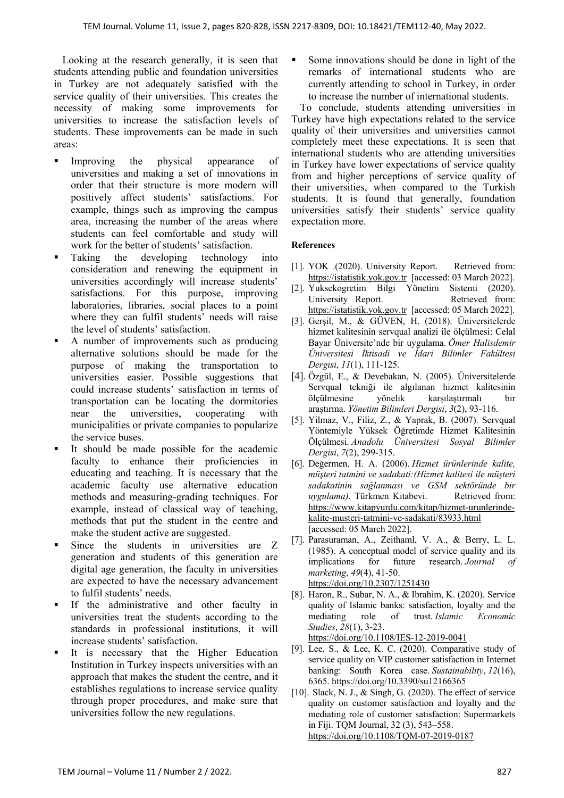Looking at the research generally, it is seen that students attending public and foundation universities in Turkey are not adequately satisfied with the service quality of their universities. This creates the necessity of making some improvements for universities to increase the satisfaction levels of students. These improvements can be made in such areas:

- Improving the physical appearance of universities and making a set of innovations in order that their structure is more modern will positively affect students' satisfactions. For example, things such as improving the campus area, increasing the number of the areas where students can feel comfortable and study will work for the better of students' satisfaction.
- Taking the developing technology into consideration and renewing the equipment in universities accordingly will increase students' satisfactions. For this purpose, improving laboratories, libraries, social places to a point where they can fulfil students' needs will raise the level of students' satisfaction.
- A number of improvements such as producing alternative solutions should be made for the purpose of making the transportation to universities easier. Possible suggestions that could increase students' satisfaction in terms of transportation can be locating the dormitories near the universities, cooperating with municipalities or private companies to popularize the service buses.
- It should be made possible for the academic faculty to enhance their proficiencies in educating and teaching. It is necessary that the academic faculty use alternative education methods and measuring-grading techniques. For example, instead of classical way of teaching, methods that put the student in the centre and make the student active are suggested.
- Since the students in universities are Z generation and students of this generation are digital age generation, the faculty in universities are expected to have the necessary advancement to fulfil students' needs.
- If the administrative and other faculty in universities treat the students according to the standards in professional institutions, it will increase students' satisfaction.
- It is necessary that the Higher Education Institution in Turkey inspects universities with an approach that makes the student the centre, and it establishes regulations to increase service quality through proper procedures, and make sure that universities follow the new regulations.

 Some innovations should be done in light of the remarks of international students who are currently attending to school in Turkey, in order to increase the number of international students.

To conclude, students attending universities in Turkey have high expectations related to the service quality of their universities and universities cannot completely meet these expectations. It is seen that international students who are attending universities in Turkey have lower expectations of service quality from and higher perceptions of service quality of their universities, when compared to the Turkish students. It is found that generally, foundation universities satisfy their students' service quality expectation more.

#### **References**

- [1]. YOK .(2020). University Report. Retrieved from: https://istatistik.yok.gov.tr [accessed: 03 March 2022].
- [2]. Yuksekogretim Bilgi Yönetim Sistemi (2020). University Report. Retrieved from: https://istatistik.yok.gov.tr [accessed: 05 March 2022].
- [3]. Gerşil, M., & GÜVEN, H. (2018). Üniversitelerde hizmet kalitesinin servqual analizi ile ölçülmesi: Celal Bayar Üniversite'nde bir uygulama. *Ömer Halisdemir Üniversitesi İktisadi ve İdari Bilimler Fakültesi Dergisi*, *11*(1), 111-125.
- [4]. Özgül, E., & Devebakan, N. (2005). Üniversitelerde Servqual tekniği ile algılanan hizmet kalitesinin ölçülmesine yönelik karşılaştırmalı bir araştırma. *Yönetim Bilimleri Dergisi*, *3*(2), 93-116.
- [5]. Yilmaz, V., Filiz, Z., & Yaprak, B. (2007). Servqual Yöntemiyle Yüksek Öğretimde Hizmet Kalitesinin Ölçülmesi. *Anadolu Üniversitesi Sosyal Bilimler Dergisi*, *7*(2), 299-315.
- [6]. Değermen, H. A. (2006). *Hizmet ürünlerinde kalite, müşteri tatmini ve sadakati:(Hizmet kalitesi ile müşteri sadakatinin sağlanması ve GSM sektöründe bir uygulama)*. Türkmen Kitabevi. Retrieved from: https://www.kitapyurdu.com/kitap/hizmet-urunlerindekalite-musteri-tatmini-ve-sadakati/83933.html [accessed: 05 March 2022].
- [7]. Parasuraman, A., Zeithaml, V. A., & Berry, L. L. (1985). A conceptual model of service quality and its implications for future research. *Journal of marketing*, *49*(4), 41-50. https://doi.org/10.2307/1251430
- [8]. Haron, R., Subar, N. A., & Ibrahim, K. (2020). Service quality of Islamic banks: satisfaction, loyalty and the mediating role of trust. *Islamic Economic Studies*, *28*(1), 3-23. https://doi.org/10.1108/IES-12-2019-0041
- [9]. Lee, S., & Lee, K. C. (2020). Comparative study of service quality on VIP customer satisfaction in Internet banking: South Korea case. *Sustainability*, *12*(16), 6365. https://doi.org/10.3390/su12166365
- [10]. Slack, N. J., & Singh, G. (2020). The effect of service quality on customer satisfaction and loyalty and the mediating role of customer satisfaction: Supermarkets in Fiji. TQM Journal, 32 (3), 543–558. https://doi.org/10.1108/TQM-07-2019-0187